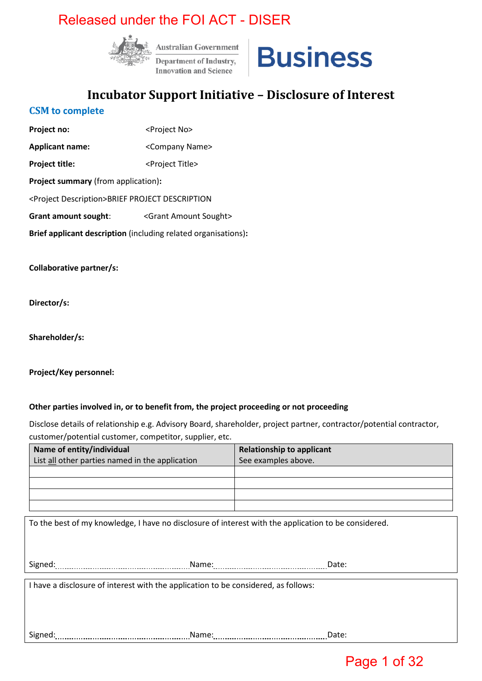

**Australian Government Department of Industry, Innovation and Science** 



## **Incubator Support Initiative – Disclosure of Interest**

#### **CSM to complete**

**Project no:**  $\langle$ Project No> **Applicant name:** <Company Name> **Project title:**  $\langle$ Project Title> **Project summary** (from application)**:** <Project Description>BRIEF PROJECT DESCRIPTION Grant amount sought: <Grant Amount Sought> **Brief applicant description** (including related organisations)**:**

**Collaborative partner/s:** 

**Director/s:** 

**Shareholder/s:** 

**Project/Key personnel:**

#### **Other parties involved in, or to benefit from, the project proceeding or not proceeding**

Disclose details of relationship e.g. Advisory Board, shareholder, project partner, contractor/potential contractor, customer/potential customer, competitor, supplier, etc.

| Name of entity/individual                                                                            | <b>Relationship to applicant</b> |
|------------------------------------------------------------------------------------------------------|----------------------------------|
| List all other parties named in the application                                                      | See examples above.              |
|                                                                                                      |                                  |
|                                                                                                      |                                  |
|                                                                                                      |                                  |
|                                                                                                      |                                  |
|                                                                                                      |                                  |
| To the best of my knowledge, I have no disclosure of interest with the application to be considered. |                                  |
|                                                                                                      |                                  |
|                                                                                                      |                                  |
|                                                                                                      | Date:                            |
|                                                                                                      |                                  |
| I have a disclosure of interest with the application to be considered, as follows:                   |                                  |
|                                                                                                      |                                  |
|                                                                                                      |                                  |
|                                                                                                      |                                  |
|                                                                                                      |                                  |
| Signed:<br>Name:                                                                                     | Date:                            |

## Page 1 of 32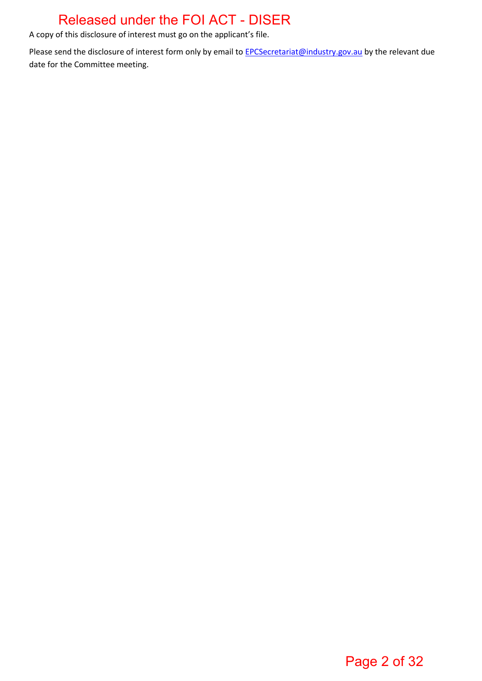A copy of this disclosure of interest must go on the applicant's file.

Please send the disclosure of interest form only by email to **EPCSecretariat@industry.gov.au** by the relevant due date for the Committee meeting.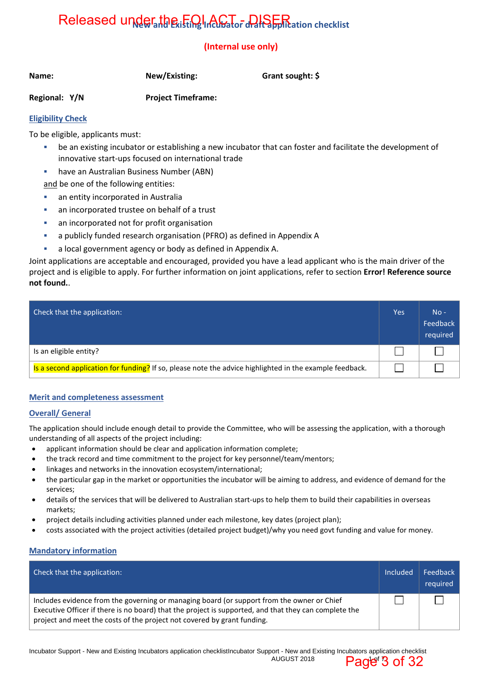# Released under the iting Incubator draft application checklist

### **(Internal use only)**

| Name: | New/Existing: |
|-------|---------------|
|       |               |

**Grant sought: \$** 

**Regional: Y/N Project Timeframe:** 

#### **Eligibility Check**

To be eligible, applicants must:

- be an existing incubator or establishing a new incubator that can foster and facilitate the development of innovative start-ups focused on international trade
- have an Australian Business Number (ABN) and be one of the following entities:

- **an entity incorporated in Australia**
- an incorporated trustee on behalf of a trust
- an incorporated not for profit organisation
- a publicly funded research organisation (PFRO) as defined in Appendix A
- a local government agency or body as defined in Appendix A.

Joint applications are acceptable and encouraged, provided you have a lead applicant who is the main driver of the project and is eligible to apply. For further information on joint applications, refer to section **Error! Reference source not found.**.

| Check that the application:                                                                             | Yes | $No -$<br>Feedback<br>required |
|---------------------------------------------------------------------------------------------------------|-----|--------------------------------|
| Is an eligible entity?                                                                                  |     |                                |
| Is a second application for funding? If so, please note the advice highlighted in the example feedback. |     |                                |

#### **Merit and completeness assessment**

#### **Overall/ General**

The application should include enough detail to provide the Committee, who will be assessing the application, with a thorough understanding of all aspects of the project including:

- applicant information should be clear and application information complete;
- the track record and time commitment to the project for key personnel/team/mentors;
- linkages and networks in the innovation ecosystem/international;
- the particular gap in the market or opportunities the incubator will be aiming to address, and evidence of demand for the services;
- details of the services that will be delivered to Australian start-ups to help them to build their capabilities in overseas markets;
- project details including activities planned under each milestone, key dates (project plan);
- costs associated with the project activities (detailed project budget)/why you need govt funding and value for money.

#### **Mandatory information**

| Check that the application:                                                                                                                                                                                                                                                    | Included | Feedback<br>required |
|--------------------------------------------------------------------------------------------------------------------------------------------------------------------------------------------------------------------------------------------------------------------------------|----------|----------------------|
| Includes evidence from the governing or managing board (or support from the owner or Chief<br>Executive Officer if there is no board) that the project is supported, and that they can complete the<br>project and meet the costs of the project not covered by grant funding. |          |                      |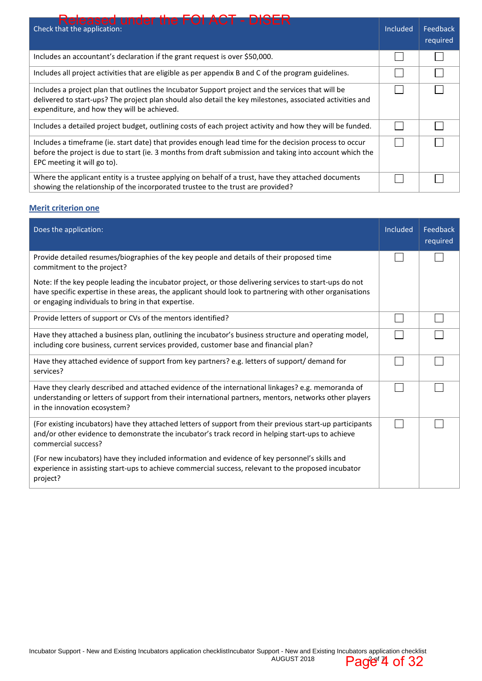| <b>Released under the FOI ACT - DISER</b><br>Check that the application:                                                                                                                                                                                      | Included | Feedback<br>required |
|---------------------------------------------------------------------------------------------------------------------------------------------------------------------------------------------------------------------------------------------------------------|----------|----------------------|
| Includes an accountant's declaration if the grant request is over \$50,000.                                                                                                                                                                                   |          |                      |
| Includes all project activities that are eligible as per appendix B and C of the program guidelines.                                                                                                                                                          |          |                      |
| Includes a project plan that outlines the Incubator Support project and the services that will be<br>delivered to start-ups? The project plan should also detail the key milestones, associated activities and<br>expenditure, and how they will be achieved. |          |                      |
| Includes a detailed project budget, outlining costs of each project activity and how they will be funded.                                                                                                                                                     |          |                      |
| Includes a timeframe (ie. start date) that provides enough lead time for the decision process to occur<br>before the project is due to start (ie. 3 months from draft submission and taking into account which the<br>EPC meeting it will go to).             |          |                      |
| Where the applicant entity is a trustee applying on behalf of a trust, have they attached documents<br>showing the relationship of the incorporated trustee to the trust are provided?                                                                        |          |                      |

#### **Merit criterion one**

| Does the application:                                                                                                                                                                                                                                                      | Included | Feedback<br>required |
|----------------------------------------------------------------------------------------------------------------------------------------------------------------------------------------------------------------------------------------------------------------------------|----------|----------------------|
| Provide detailed resumes/biographies of the key people and details of their proposed time<br>commitment to the project?                                                                                                                                                    |          |                      |
| Note: If the key people leading the incubator project, or those delivering services to start-ups do not<br>have specific expertise in these areas, the applicant should look to partnering with other organisations<br>or engaging individuals to bring in that expertise. |          |                      |
| Provide letters of support or CVs of the mentors identified?                                                                                                                                                                                                               |          |                      |
| Have they attached a business plan, outlining the incubator's business structure and operating model,<br>including core business, current services provided, customer base and financial plan?                                                                             |          |                      |
| Have they attached evidence of support from key partners? e.g. letters of support/ demand for<br>services?                                                                                                                                                                 |          |                      |
| Have they clearly described and attached evidence of the international linkages? e.g. memoranda of<br>understanding or letters of support from their international partners, mentors, networks other players<br>in the innovation ecosystem?                               |          |                      |
| (For existing incubators) have they attached letters of support from their previous start-up participants<br>and/or other evidence to demonstrate the incubator's track record in helping start-ups to achieve<br>commercial success?                                      |          |                      |
| (For new incubators) have they included information and evidence of key personnel's skills and<br>experience in assisting start-ups to achieve commercial success, relevant to the proposed incubator<br>project?                                                          |          |                      |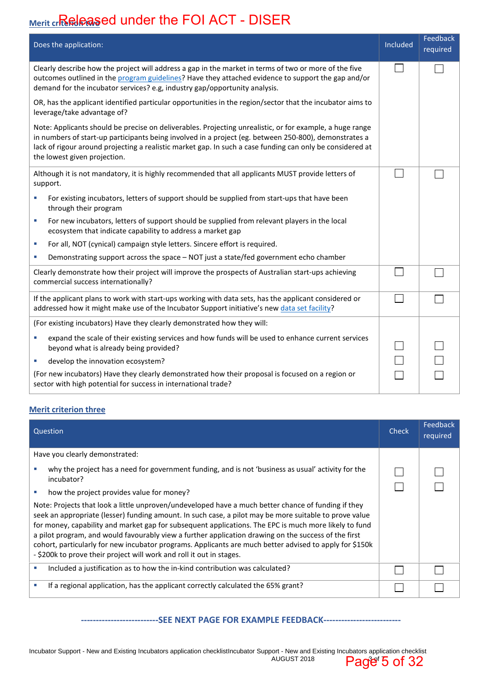## <u>Merit cr<mark>isି</mark>ଳ୍ପାନ୍ତ୍ରକ୍ଷ</u>ୁed under the FOI ACT - DISER

| Does the application:                                                                                                                                                                                                                                                                                                                                          | Included | Feedback<br>required |
|----------------------------------------------------------------------------------------------------------------------------------------------------------------------------------------------------------------------------------------------------------------------------------------------------------------------------------------------------------------|----------|----------------------|
| Clearly describe how the project will address a gap in the market in terms of two or more of the five<br>outcomes outlined in the program guidelines? Have they attached evidence to support the gap and/or<br>demand for the incubator services? e.g, industry gap/opportunity analysis.                                                                      |          |                      |
| OR, has the applicant identified particular opportunities in the region/sector that the incubator aims to<br>leverage/take advantage of?                                                                                                                                                                                                                       |          |                      |
| Note: Applicants should be precise on deliverables. Projecting unrealistic, or for example, a huge range<br>in numbers of start-up participants being involved in a project (eg. between 250-800), demonstrates a<br>lack of rigour around projecting a realistic market gap. In such a case funding can only be considered at<br>the lowest given projection. |          |                      |
| Although it is not mandatory, it is highly recommended that all applicants MUST provide letters of<br>support.                                                                                                                                                                                                                                                 |          |                      |
| For existing incubators, letters of support should be supplied from start-ups that have been<br>ш<br>through their program                                                                                                                                                                                                                                     |          |                      |
| For new incubators, letters of support should be supplied from relevant players in the local<br>a.<br>ecosystem that indicate capability to address a market gap                                                                                                                                                                                               |          |                      |
| For all, NOT (cynical) campaign style letters. Sincere effort is required.<br>ш                                                                                                                                                                                                                                                                                |          |                      |
| Demonstrating support across the space - NOT just a state/fed government echo chamber<br>u,                                                                                                                                                                                                                                                                    |          |                      |
| Clearly demonstrate how their project will improve the prospects of Australian start-ups achieving<br>commercial success internationally?                                                                                                                                                                                                                      |          |                      |
| If the applicant plans to work with start-ups working with data sets, has the applicant considered or<br>addressed how it might make use of the Incubator Support initiative's new data set facility?                                                                                                                                                          |          |                      |
| (For existing incubators) Have they clearly demonstrated how they will:                                                                                                                                                                                                                                                                                        |          |                      |
| expand the scale of their existing services and how funds will be used to enhance current services<br>u,<br>beyond what is already being provided?                                                                                                                                                                                                             |          |                      |
| develop the innovation ecosystem?<br>ш                                                                                                                                                                                                                                                                                                                         |          |                      |
| (For new incubators) Have they clearly demonstrated how their proposal is focused on a region or<br>sector with high potential for success in international trade?                                                                                                                                                                                             |          |                      |

#### **Merit criterion three**

| Question                                                                                                                                                                                                                                                                                                                                                                                                                                                                                                                                                                                                                                                                                                                                                                           | Check | Feedback<br>required |
|------------------------------------------------------------------------------------------------------------------------------------------------------------------------------------------------------------------------------------------------------------------------------------------------------------------------------------------------------------------------------------------------------------------------------------------------------------------------------------------------------------------------------------------------------------------------------------------------------------------------------------------------------------------------------------------------------------------------------------------------------------------------------------|-------|----------------------|
| Have you clearly demonstrated:                                                                                                                                                                                                                                                                                                                                                                                                                                                                                                                                                                                                                                                                                                                                                     |       |                      |
| why the project has a need for government funding, and is not 'business as usual' activity for the<br>incubator?<br>how the project provides value for money?<br>Note: Projects that look a little unproven/undeveloped have a much better chance of funding if they<br>seek an appropriate (lesser) funding amount. In such case, a pilot may be more suitable to prove value<br>for money, capability and market gap for subsequent applications. The EPC is much more likely to fund<br>a pilot program, and would favourably view a further application drawing on the success of the first<br>cohort, particularly for new incubator programs. Applicants are much better advised to apply for \$150k<br>- \$200k to prove their project will work and roll it out in stages. |       |                      |
| Included a justification as to how the in-kind contribution was calculated?                                                                                                                                                                                                                                                                                                                                                                                                                                                                                                                                                                                                                                                                                                        |       |                      |
| If a regional application, has the applicant correctly calculated the 65% grant?                                                                                                                                                                                                                                                                                                                                                                                                                                                                                                                                                                                                                                                                                                   |       |                      |

#### **--------------------------SEE NEXT PAGE FOR EXAMPLE FEEDBACK--------------------------**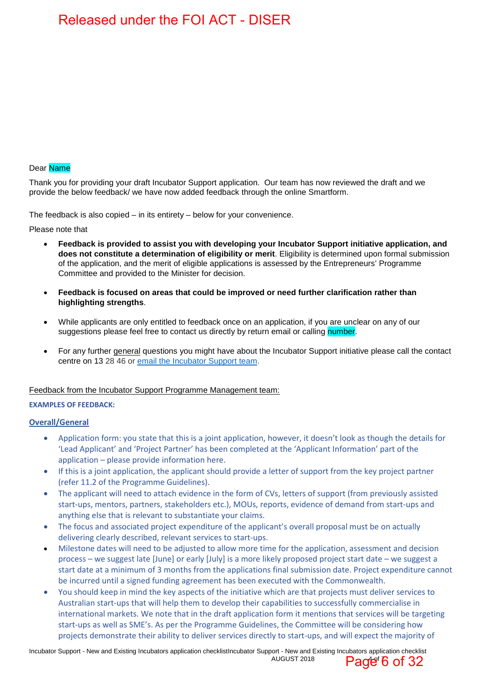#### Dear Name

Thank you for providing your draft Incubator Support application. Our team has now reviewed the draft and we provide the below feedback/ we have now added feedback through the online Smartform.

The feedback is also copied – in its entirety – below for your convenience.

Please note that

- **Feedback is provided to assist you with developing your Incubator Support initiative application, and does not constitute a determination of eligibility or merit**. Eligibility is determined upon formal submission of the application, and the merit of eligible applications is assessed by the Entrepreneurs' Programme Committee and provided to the Minister for decision.
- **Feedback is focused on areas that could be improved or need further clarification rather than highlighting strengths**.
- While applicants are only entitled to feedback once on an application, if you are unclear on any of our suggestions please feel free to contact us directly by return email or calling number.
- For any further general questions you might have about the Incubator Support initiative please call the contact centre on 13 28 46 or email the Incubator Support team.

#### Feedback from the Incubator Support Programme Management team:

#### **EXAMPLES OF FEEDBACK:**

#### **Overall/General**

- Application form: you state that this is a joint application, however, it doesn't look as though the details for 'Lead Applicant' and 'Project Partner' has been completed at the 'Applicant Information' part of the application – please provide information here.
- If this is a joint application, the applicant should provide a letter of support from the key project partner (refer 11.2 of the Programme Guidelines).
- The applicant will need to attach evidence in the form of CVs, letters of support (from previously assisted start-ups, mentors, partners, stakeholders etc.), MOUs, reports, evidence of demand from start-ups and anything else that is relevant to substantiate your claims.
- The focus and associated project expenditure of the applicant's overall proposal must be on actually delivering clearly described, relevant services to start-ups.
- Milestone dates will need to be adjusted to allow more time for the application, assessment and decision process – we suggest late [June] or early [July] is a more likely proposed project start date – we suggest a start date at a minimum of 3 months from the applications final submission date. Project expenditure cannot be incurred until a signed funding agreement has been executed with the Commonwealth.
- You should keep in mind the key aspects of the initiative which are that projects must deliver services to Australian start-ups that will help them to develop their capabilities to successfully commercialise in international markets. We note that in the draft application form it mentions that services will be targeting start-ups as well as SME's. As per the Programme Guidelines, the Committee will be considering how projects demonstrate their ability to deliver services directly to start-ups, and will expect the majority of

Incubator Support - New and Existing Incubators application checklistIncubator Support - New and Existing Incubators application checklist AUGUST 2018 Page  $6$  of 32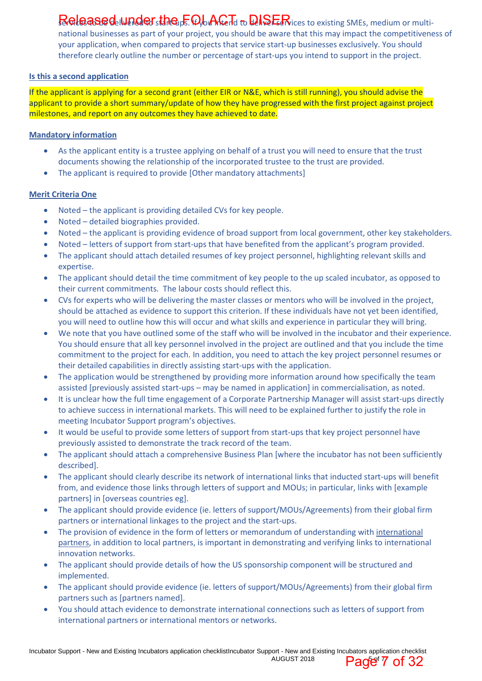## Released Inndersthe <sub>1</sub>F. Ob Afterd to DISER lices to existing SMEs, medium or multi-

national businesses as part of your project, you should be aware that this may impact the competitiveness of your application, when compared to projects that service start-up businesses exclusively. You should therefore clearly outline the number or percentage of start-ups you intend to support in the project.

#### **Is this a second application**

If the applicant is applying for a second grant (either EIR or N&E, which is still running), you should advise the applicant to provide a short summary/update of how they have progressed with the first project against project milestones, and report on any outcomes they have achieved to date.

#### **Mandatory information**

- As the applicant entity is a trustee applying on behalf of a trust you will need to ensure that the trust documents showing the relationship of the incorporated trustee to the trust are provided.
- The applicant is required to provide [Other mandatory attachments]

#### **Merit Criteria One**

- Noted the applicant is providing detailed CVs for key people.
- Noted detailed biographies provided.
- Noted the applicant is providing evidence of broad support from local government, other key stakeholders.
- Noted letters of support from start-ups that have benefited from the applicant's program provided.
- The applicant should attach detailed resumes of key project personnel, highlighting relevant skills and expertise.
- The applicant should detail the time commitment of key people to the up scaled incubator, as opposed to their current commitments. The labour costs should reflect this.
- CVs for experts who will be delivering the master classes or mentors who will be involved in the project, should be attached as evidence to support this criterion. If these individuals have not yet been identified, you will need to outline how this will occur and what skills and experience in particular they will bring.
- We note that you have outlined some of the staff who will be involved in the incubator and their experience. You should ensure that all key personnel involved in the project are outlined and that you include the time commitment to the project for each. In addition, you need to attach the key project personnel resumes or their detailed capabilities in directly assisting start-ups with the application.
- The application would be strengthened by providing more information around how specifically the team assisted [previously assisted start-ups – may be named in application] in commercialisation, as noted.
- It is unclear how the full time engagement of a Corporate Partnership Manager will assist start-ups directly to achieve success in international markets. This will need to be explained further to justify the role in meeting Incubator Support program's objectives.
- It would be useful to provide some letters of support from start-ups that key project personnel have previously assisted to demonstrate the track record of the team.
- The applicant should attach a comprehensive Business Plan [where the incubator has not been sufficiently described].
- The applicant should clearly describe its network of international links that inducted start-ups will benefit from, and evidence those links through letters of support and MOUs; in particular, links with [example partners] in [overseas countries eg].
- The applicant should provide evidence (ie. letters of support/MOUs/Agreements) from their global firm partners or international linkages to the project and the start-ups.
- The provision of evidence in the form of letters or memorandum of understanding with international partners, in addition to local partners, is important in demonstrating and verifying links to international innovation networks.
- The applicant should provide details of how the US sponsorship component will be structured and implemented.
- The applicant should provide evidence (ie. letters of support/MOUs/Agreements) from their global firm partners such as [partners named].
- You should attach evidence to demonstrate international connections such as letters of support from international partners or international mentors or networks.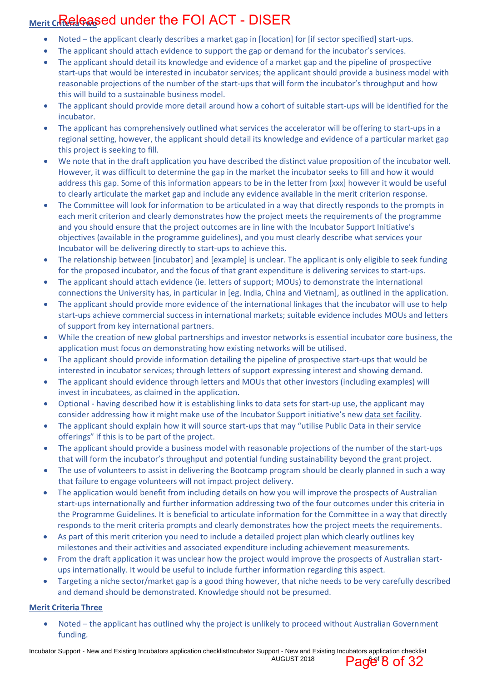## <u>Merit cr<mark>itepleas</mark>ed under the FOI ACT - DISER</u>

- Noted the applicant clearly describes a market gap in [location] for [if sector specified] start-ups.
- The applicant should attach evidence to support the gap or demand for the incubator's services.
- The applicant should detail its knowledge and evidence of a market gap and the pipeline of prospective start-ups that would be interested in incubator services; the applicant should provide a business model with reasonable projections of the number of the start-ups that will form the incubator's throughput and how this will build to a sustainable business model.
- The applicant should provide more detail around how a cohort of suitable start-ups will be identified for the incubator.
- The applicant has comprehensively outlined what services the accelerator will be offering to start-ups in a regional setting, however, the applicant should detail its knowledge and evidence of a particular market gap this project is seeking to fill.
- We note that in the draft application you have described the distinct value proposition of the incubator well. However, it was difficult to determine the gap in the market the incubator seeks to fill and how it would address this gap. Some of this information appears to be in the letter from [xxx] however it would be useful to clearly articulate the market gap and include any evidence available in the merit criterion response.
- The Committee will look for information to be articulated in a way that directly responds to the prompts in each merit criterion and clearly demonstrates how the project meets the requirements of the programme and you should ensure that the project outcomes are in line with the Incubator Support Initiative's objectives (available in the programme guidelines), and you must clearly describe what services your Incubator will be delivering directly to start-ups to achieve this.
- The relationship between [incubator] and [example] is unclear. The applicant is only eligible to seek funding for the proposed incubator, and the focus of that grant expenditure is delivering services to start-ups.
- The applicant should attach evidence (ie. letters of support; MOUs) to demonstrate the international connections the University has, in particular in [eg. India, China and Vietnam], as outlined in the application.
- The applicant should provide more evidence of the international linkages that the incubator will use to help start-ups achieve commercial success in international markets; suitable evidence includes MOUs and letters of support from key international partners.
- While the creation of new global partnerships and investor networks is essential incubator core business, the application must focus on demonstrating how existing networks will be utilised.
- The applicant should provide information detailing the pipeline of prospective start-ups that would be interested in incubator services; through letters of support expressing interest and showing demand.
- The applicant should evidence through letters and MOUs that other investors (including examples) will invest in incubatees, as claimed in the application.
- Optional having described how it is establishing links to data sets for start-up use, the applicant may consider addressing how it might make use of the Incubator Support initiative's new data set facility.
- The applicant should explain how it will source start-ups that may "utilise Public Data in their service offerings" if this is to be part of the project.
- The applicant should provide a business model with reasonable projections of the number of the start-ups that will form the incubator's throughput and potential funding sustainability beyond the grant project.
- The use of volunteers to assist in delivering the Bootcamp program should be clearly planned in such a way that failure to engage volunteers will not impact project delivery.
- The application would benefit from including details on how you will improve the prospects of Australian start-ups internationally and further information addressing two of the four outcomes under this criteria in the Programme Guidelines. It is beneficial to articulate information for the Committee in a way that directly responds to the merit criteria prompts and clearly demonstrates how the project meets the requirements.
- As part of this merit criterion you need to include a detailed project plan which clearly outlines key milestones and their activities and associated expenditure including achievement measurements.
- From the draft application it was unclear how the project would improve the prospects of Australian startups internationally. It would be useful to include further information regarding this aspect.
- Targeting a niche sector/market gap is a good thing however, that niche needs to be very carefully described and demand should be demonstrated. Knowledge should not be presumed.

#### **Merit Criteria Three**

 Noted – the applicant has outlined why the project is unlikely to proceed without Australian Government funding.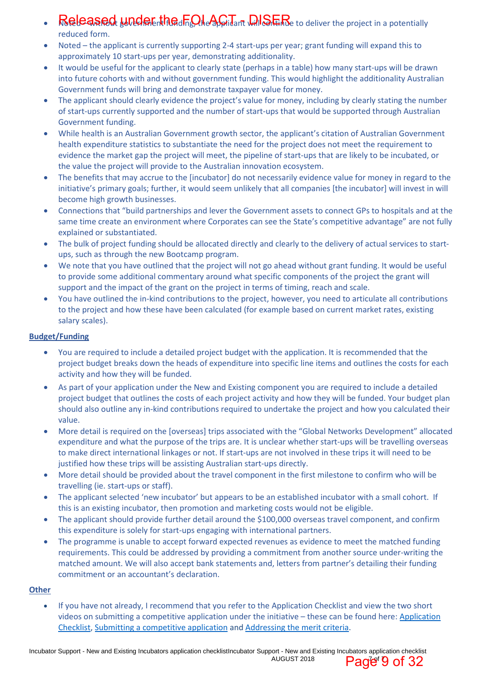- $\cdot$  Released wild chain the  $\Omega$   $\Delta G$  is an  $\Omega$  .  $\Omega$  is  $\Omega$  is a potentially  $\Omega$ reduced form.
- Noted the applicant is currently supporting 2-4 start-ups per year; grant funding will expand this to approximately 10 start-ups per year, demonstrating additionality.
- It would be useful for the applicant to clearly state (perhaps in a table) how many start-ups will be drawn into future cohorts with and without government funding. This would highlight the additionality Australian Government funds will bring and demonstrate taxpayer value for money.
- The applicant should clearly evidence the project's value for money, including by clearly stating the number of start-ups currently supported and the number of start-ups that would be supported through Australian Government funding.
- While health is an Australian Government growth sector, the applicant's citation of Australian Government health expenditure statistics to substantiate the need for the project does not meet the requirement to evidence the market gap the project will meet, the pipeline of start-ups that are likely to be incubated, or the value the project will provide to the Australian innovation ecosystem.
- The benefits that may accrue to the [incubator] do not necessarily evidence value for money in regard to the initiative's primary goals; further, it would seem unlikely that all companies [the incubator] will invest in will become high growth businesses.
- Connections that "build partnerships and lever the Government assets to connect GPs to hospitals and at the same time create an environment where Corporates can see the State's competitive advantage" are not fully explained or substantiated.
- The bulk of project funding should be allocated directly and clearly to the delivery of actual services to startups, such as through the new Bootcamp program.
- We note that you have outlined that the project will not go ahead without grant funding. It would be useful to provide some additional commentary around what specific components of the project the grant will support and the impact of the grant on the project in terms of timing, reach and scale.
- You have outlined the in-kind contributions to the project, however, you need to articulate all contributions to the project and how these have been calculated (for example based on current market rates, existing salary scales).

#### **Budget/Funding**

- You are required to include a detailed project budget with the application. It is recommended that the project budget breaks down the heads of expenditure into specific line items and outlines the costs for each activity and how they will be funded.
- As part of your application under the New and Existing component you are required to include a detailed project budget that outlines the costs of each project activity and how they will be funded. Your budget plan should also outline any in-kind contributions required to undertake the project and how you calculated their value.
- More detail is required on the [overseas] trips associated with the "Global Networks Development" allocated expenditure and what the purpose of the trips are. It is unclear whether start-ups will be travelling overseas to make direct international linkages or not. If start-ups are not involved in these trips it will need to be justified how these trips will be assisting Australian start-ups directly.
- More detail should be provided about the travel component in the first milestone to confirm who will be travelling (ie. start-ups or staff).
- The applicant selected 'new incubator' but appears to be an established incubator with a small cohort. If this is an existing incubator, then promotion and marketing costs would not be eligible.
- The applicant should provide further detail around the \$100,000 overseas travel component, and confirm this expenditure is solely for start-ups engaging with international partners.
- The programme is unable to accept forward expected revenues as evidence to meet the matched funding requirements. This could be addressed by providing a commitment from another source under-writing the matched amount. We will also accept bank statements and, letters from partner's detailing their funding commitment or an accountant's declaration.

#### **Other**

 If you have not already, I recommend that you refer to the Application Checklist and view the two short videos on submitting a competitive application under the initiative – these can be found here: Application Checklist, Submitting a competitive application and Addressing the merit criteria.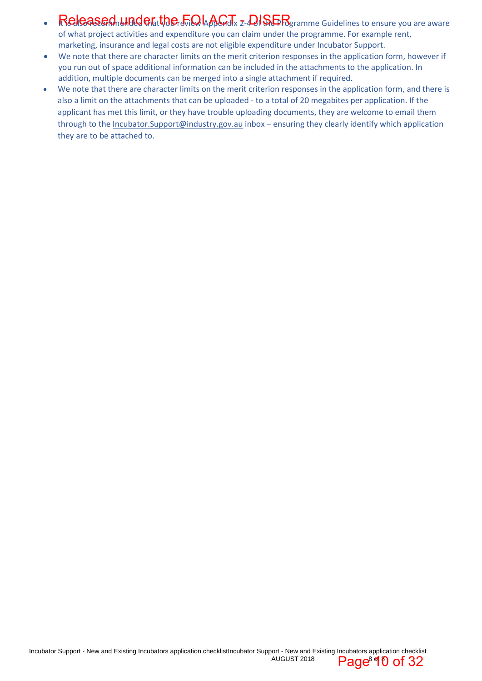$\cdot$  Released Linder the  $\epsilon$  on  $\Delta$  of  $\epsilon$  on  $\Delta$ of what project activities and expenditure you can claim under the programme. For example rent,

marketing, insurance and legal costs are not eligible expenditure under Incubator Support.

- We note that there are character limits on the merit criterion responses in the application form, however if you run out of space additional information can be included in the attachments to the application. In addition, multiple documents can be merged into a single attachment if required.
- We note that there are character limits on the merit criterion responses in the application form, and there is also a limit on the attachments that can be uploaded - to a total of 20 megabites per application. If the applicant has met this limit, or they have trouble uploading documents, they are welcome to email them through to the Incubator.Support@industry.gov.au inbox – ensuring they clearly identify which application they are to be attached to.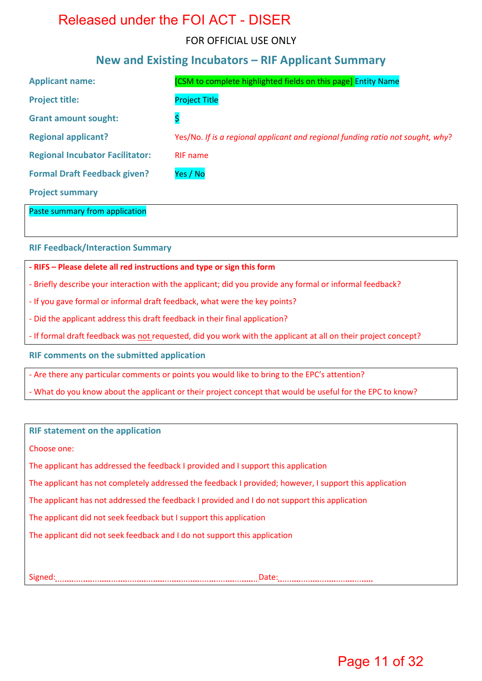### FOR OFFICIAL USE ONLY

### **New and Existing Incubators – RIF Applicant Summary**

| <b>Applicant name:</b>                 | [CSM to complete highlighted fields on this page] Entity Name                  |
|----------------------------------------|--------------------------------------------------------------------------------|
| <b>Project title:</b>                  | <b>Project Title</b>                                                           |
| <b>Grant amount sought:</b>            | \$                                                                             |
| <b>Regional applicant?</b>             | Yes/No. If is a regional applicant and regional funding ratio not sought, why? |
| <b>Regional Incubator Facilitator:</b> | <b>RIF</b> name                                                                |
| <b>Formal Draft Feedback given?</b>    | Yes / No                                                                       |
| <b>Project summary</b>                 |                                                                                |

Paste summary from application

**RIF Feedback/Interaction Summary** 

#### **- RIFS – Please delete all red instructions and type or sign this form**

- Briefly describe your interaction with the applicant; did you provide any formal or informal feedback?
- If you gave formal or informal draft feedback, what were the key points?
- Did the applicant address this draft feedback in their final application?
- If formal draft feedback was not requested, did you work with the applicant at all on their project concept?

**RIF comments on the submitted application** 

- Are there any particular comments or points you would like to bring to the EPC's attention?

- What do you know about the applicant or their project concept that would be useful for the EPC to know?

| <b>RIF statement on the application</b>                                                                 |
|---------------------------------------------------------------------------------------------------------|
| Choose one:                                                                                             |
| The applicant has addressed the feedback I provided and I support this application                      |
| The applicant has not completely addressed the feedback I provided; however, I support this application |
| The applicant has not addressed the feedback I provided and I do not support this application           |
| The applicant did not seek feedback but I support this application                                      |
| The applicant did not seek feedback and I do not support this application                               |
|                                                                                                         |

Signed: Date: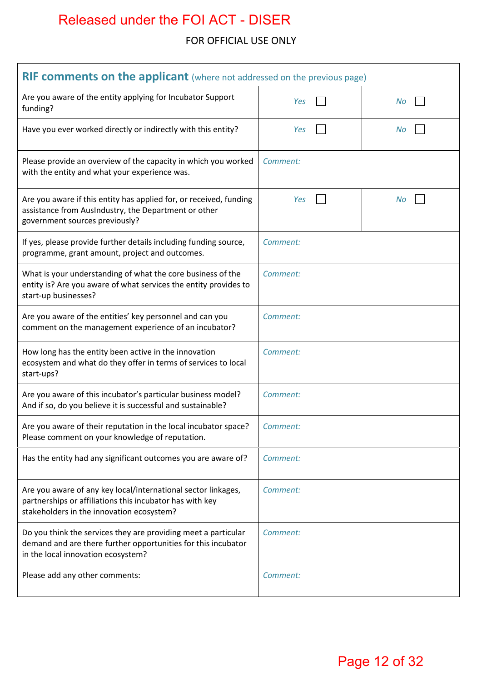### FOR OFFICIAL USE ONLY

| RIF comments on the applicant (where not addressed on the previous page)                                                                                               |          |  |    |
|------------------------------------------------------------------------------------------------------------------------------------------------------------------------|----------|--|----|
| Are you aware of the entity applying for Incubator Support<br>funding?                                                                                                 | Yes      |  | No |
| Have you ever worked directly or indirectly with this entity?                                                                                                          | Yes      |  | No |
| Please provide an overview of the capacity in which you worked<br>with the entity and what your experience was.                                                        | Comment: |  |    |
| Are you aware if this entity has applied for, or received, funding<br>assistance from AusIndustry, the Department or other<br>government sources previously?           | Yes      |  | No |
| If yes, please provide further details including funding source,<br>programme, grant amount, project and outcomes.                                                     | Comment: |  |    |
| What is your understanding of what the core business of the<br>entity is? Are you aware of what services the entity provides to<br>start-up businesses?                | Comment: |  |    |
| Are you aware of the entities' key personnel and can you<br>comment on the management experience of an incubator?                                                      | Comment: |  |    |
| How long has the entity been active in the innovation<br>ecosystem and what do they offer in terms of services to local<br>start-ups?                                  | Comment: |  |    |
| Are you aware of this incubator's particular business model?<br>And if so, do you believe it is successful and sustainable?                                            | Comment: |  |    |
| Are you aware of their reputation in the local incubator space?<br>Please comment on your knowledge of reputation.                                                     | Comment: |  |    |
| Has the entity had any significant outcomes you are aware of?                                                                                                          | Comment: |  |    |
| Are you aware of any key local/international sector linkages,<br>partnerships or affiliations this incubator has with key<br>stakeholders in the innovation ecosystem? | Comment: |  |    |
| Do you think the services they are providing meet a particular<br>demand and are there further opportunities for this incubator<br>in the local innovation ecosystem?  | Comment: |  |    |
| Please add any other comments:                                                                                                                                         | Comment: |  |    |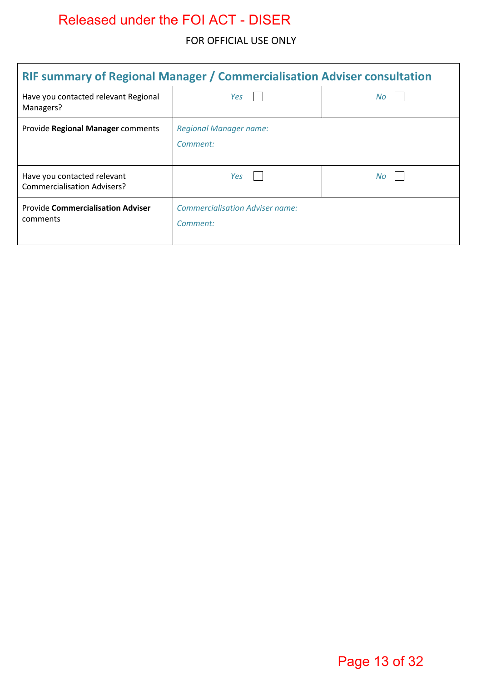### FOR OFFICIAL USE ONLY

| <b>RIF summary of Regional Manager / Commercialisation Adviser consultation</b> |                                                    |     |  |  |
|---------------------------------------------------------------------------------|----------------------------------------------------|-----|--|--|
| Have you contacted relevant Regional<br>Managers?                               | Yes                                                | No. |  |  |
| Provide Regional Manager comments                                               | <b>Regional Manager name:</b><br>Comment:          |     |  |  |
| Have you contacted relevant<br><b>Commercialisation Advisers?</b>               | Yes                                                | No. |  |  |
| <b>Provide Commercialisation Adviser</b><br>comments                            | <b>Commercialisation Adviser name:</b><br>Comment: |     |  |  |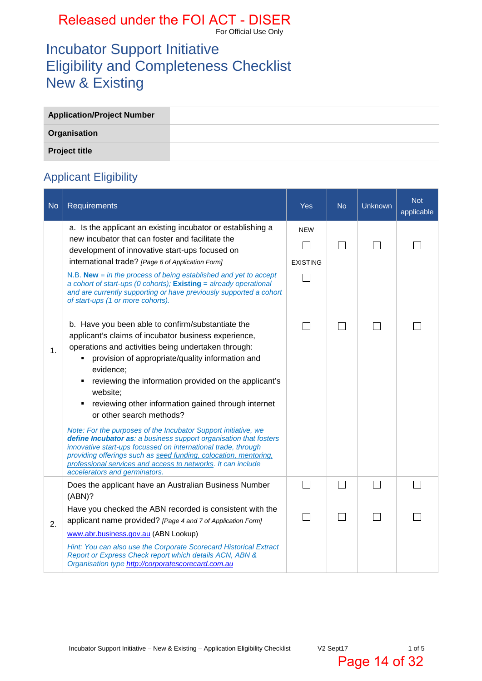For Official Use Only

## Incubator Support Initiative Eligibility and Completeness Checklist New & Existing

| <b>Application/Project Number</b> |  |
|-----------------------------------|--|
| Organisation                      |  |
| <b>Project title</b>              |  |

## Applicant Eligibility

| <b>No</b> | Requirements                                                                                                                                                                                                                                                                                                                                                                                                                                                                                                            | Yes                           | <b>No</b> | <b>Unknown</b> | <b>Not</b><br>applicable |
|-----------|-------------------------------------------------------------------------------------------------------------------------------------------------------------------------------------------------------------------------------------------------------------------------------------------------------------------------------------------------------------------------------------------------------------------------------------------------------------------------------------------------------------------------|-------------------------------|-----------|----------------|--------------------------|
|           | a. Is the applicant an existing incubator or establishing a<br>new incubator that can foster and facilitate the<br>development of innovative start-ups focused on<br>international trade? [Page 6 of Application Form]<br>N.B. <b>New</b> = in the process of being established and yet to accept<br>a cohort of start-ups (0 cohorts); Existing = already operational<br>and are currently supporting or have previously supported a cohort                                                                            | <b>NEW</b><br><b>EXISTING</b> |           |                |                          |
| 1.        | of start-ups (1 or more cohorts).<br>b. Have you been able to confirm/substantiate the<br>applicant's claims of incubator business experience,<br>operations and activities being undertaken through:<br>provision of appropriate/quality information and<br>evidence;<br>reviewing the information provided on the applicant's<br>٠<br>website:<br>reviewing other information gained through internet<br>$\blacksquare$<br>or other search methods?<br>Note: For the purposes of the Incubator Support initiative, we |                               |           |                |                          |
|           | define Incubator as: a business support organisation that fosters<br>innovative start-ups focussed on international trade, through<br>providing offerings such as seed funding, colocation, mentoring,<br>professional services and access to networks. It can include<br>accelerators and germinators.                                                                                                                                                                                                                 |                               |           |                |                          |
|           | Does the applicant have an Australian Business Number<br>(ABN)?                                                                                                                                                                                                                                                                                                                                                                                                                                                         |                               |           |                |                          |
| 2.        | Have you checked the ABN recorded is consistent with the<br>applicant name provided? [Page 4 and 7 of Application Form]<br>www.abr.business.gov.au (ABN Lookup)                                                                                                                                                                                                                                                                                                                                                         |                               |           |                |                          |
|           | Hint: You can also use the Corporate Scorecard Historical Extract<br>Report or Express Check report which details ACN, ABN &<br>Organisation type http://corporatescorecard.com.au                                                                                                                                                                                                                                                                                                                                      |                               |           |                |                          |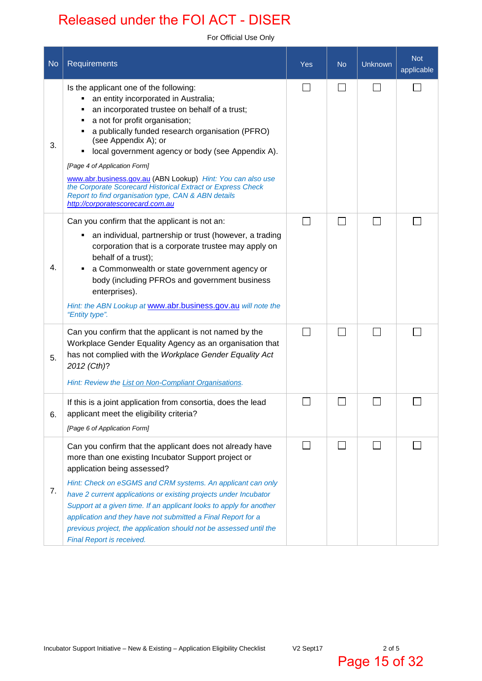For Official Use Only

| <b>No</b> | Requirements                                                                                                                                                                                                                                                                                                                                                                                                                                                                                                                                                               | Yes | <b>No</b> | Unknown | <b>Not</b><br>applicable |
|-----------|----------------------------------------------------------------------------------------------------------------------------------------------------------------------------------------------------------------------------------------------------------------------------------------------------------------------------------------------------------------------------------------------------------------------------------------------------------------------------------------------------------------------------------------------------------------------------|-----|-----------|---------|--------------------------|
| 3.        | Is the applicant one of the following:<br>an entity incorporated in Australia;<br>٠<br>an incorporated trustee on behalf of a trust;<br>п<br>a not for profit organisation;<br>٠<br>a publically funded research organisation (PFRO)<br>(see Appendix A); or<br>local government agency or body (see Appendix A).<br>[Page 4 of Application Form]<br>www.abr.business.gov.au (ABN Lookup) Hint: You can also use<br>the Corporate Scorecard Historical Extract or Express Check<br>Report to find organisation type, CAN & ABN details<br>http://corporatescorecard.com.au |     |           |         |                          |
| 4.        | Can you confirm that the applicant is not an:<br>an individual, partnership or trust (however, a trading<br>٠<br>corporation that is a corporate trustee may apply on<br>behalf of a trust);<br>a Commonwealth or state government agency or<br>٠<br>body (including PFROs and government business<br>enterprises).<br>Hint: the ABN Lookup at www.abr.business.gov.au will note the<br>"Entity type".                                                                                                                                                                     |     |           |         |                          |
| 5.        | Can you confirm that the applicant is not named by the<br>Workplace Gender Equality Agency as an organisation that<br>has not complied with the Workplace Gender Equality Act<br>2012 (Cth)?<br>Hint: Review the List on Non-Compliant Organisations.                                                                                                                                                                                                                                                                                                                      |     |           |         |                          |
| 6.        | If this is a joint application from consortia, does the lead<br>applicant meet the eligibility criteria?<br>[Page 6 of Application Form]                                                                                                                                                                                                                                                                                                                                                                                                                                   |     |           |         |                          |
| 7.        | Can you confirm that the applicant does not already have<br>more than one existing Incubator Support project or<br>application being assessed?<br>Hint: Check on eSGMS and CRM systems. An applicant can only<br>have 2 current applications or existing projects under Incubator<br>Support at a given time. If an applicant looks to apply for another<br>application and they have not submitted a Final Report for a<br>previous project, the application should not be assessed until the<br>Final Report is received.                                                |     |           |         |                          |

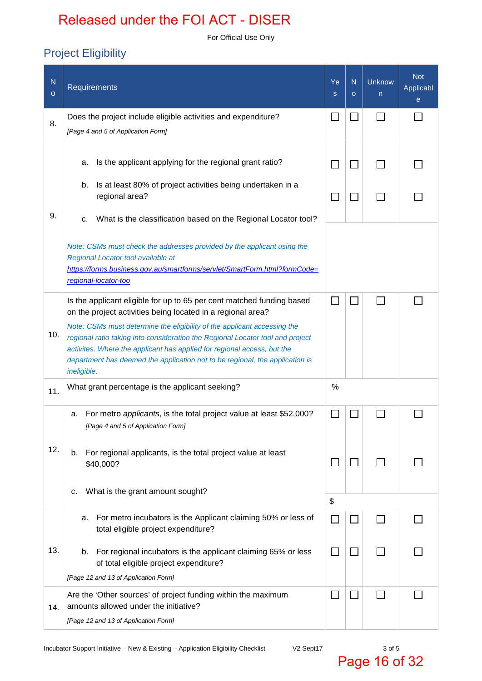For Official Use Only

## Project Eligibility

| ${\sf N}$<br>$\circ$ | <b>Requirements</b>                                                                                                                                                                                                                                                                                                                                                                                 | Ye<br>s | N<br>$\circ$ | <b>Unknow</b><br>n | <b>Not</b><br>Applicabl<br>e |
|----------------------|-----------------------------------------------------------------------------------------------------------------------------------------------------------------------------------------------------------------------------------------------------------------------------------------------------------------------------------------------------------------------------------------------------|---------|--------------|--------------------|------------------------------|
| 8.                   | Does the project include eligible activities and expenditure?<br>[Page 4 and 5 of Application Form]                                                                                                                                                                                                                                                                                                 |         |              |                    |                              |
|                      | Is the applicant applying for the regional grant ratio?<br>а.                                                                                                                                                                                                                                                                                                                                       |         |              |                    |                              |
|                      | Is at least 80% of project activities being undertaken in a<br>b.<br>regional area?                                                                                                                                                                                                                                                                                                                 |         |              |                    |                              |
| 9.                   | What is the classification based on the Regional Locator tool?<br>c.                                                                                                                                                                                                                                                                                                                                |         |              |                    |                              |
|                      | Note: CSMs must check the addresses provided by the applicant using the<br>Regional Locator tool available at<br>https://forms.business.gov.au/smartforms/servlet/SmartForm.html?formCode=<br>regional-locator-too                                                                                                                                                                                  |         |              |                    |                              |
|                      | Is the applicant eligible for up to 65 per cent matched funding based                                                                                                                                                                                                                                                                                                                               |         |              |                    |                              |
| 10.                  | on the project activities being located in a regional area?<br>Note: CSMs must determine the eligibility of the applicant accessing the<br>regional ratio taking into consideration the Regional Locator tool and project<br>activites. Where the applicant has applied for regional access, but the<br>department has deemed the application not to be regional, the application is<br>ineligible. |         |              |                    |                              |
| 11.                  | What grant percentage is the applicant seeking?                                                                                                                                                                                                                                                                                                                                                     | $\%$    |              |                    |                              |
|                      | For metro <i>applicants</i> , is the total project value at least \$52,000?<br>a.<br>[Page 4 and 5 of Application Form]                                                                                                                                                                                                                                                                             |         |              |                    |                              |
| 12.                  | For regional applicants, is the total project value at least<br>b.<br>\$40,000?                                                                                                                                                                                                                                                                                                                     |         |              |                    |                              |
|                      | What is the grant amount sought?<br>c.                                                                                                                                                                                                                                                                                                                                                              | \$      |              |                    |                              |
|                      | For metro incubators is the Applicant claiming 50% or less of<br>а.<br>total eligible project expenditure?                                                                                                                                                                                                                                                                                          |         |              |                    |                              |
| 13.                  | For regional incubators is the applicant claiming 65% or less<br>b.<br>of total eligible project expenditure?                                                                                                                                                                                                                                                                                       |         |              |                    |                              |
|                      | [Page 12 and 13 of Application Form]<br>Are the 'Other sources' of project funding within the maximum                                                                                                                                                                                                                                                                                               |         |              |                    |                              |
| 14.                  | amounts allowed under the initiative?                                                                                                                                                                                                                                                                                                                                                               |         |              |                    |                              |
|                      | [Page 12 and 13 of Application Form]                                                                                                                                                                                                                                                                                                                                                                |         |              |                    |                              |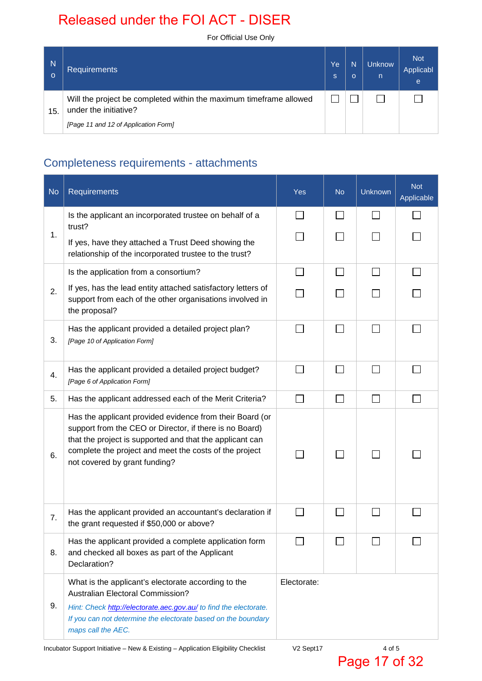For Official Use Only

| N<br>$\Omega$ | <b>Requirements</b>                                                                                                                 | Ye<br>ls. | N<br>$\Omega$ | <b>Unknow</b><br>n | <b>Not</b><br>Applicabl<br>e |
|---------------|-------------------------------------------------------------------------------------------------------------------------------------|-----------|---------------|--------------------|------------------------------|
| 15.           | Will the project be completed within the maximum timeframe allowed<br>under the initiative?<br>[Page 11 and 12 of Application Form] |           |               |                    |                              |

## Completeness requirements - attachments

| <b>No</b> | Requirements                                                                                                                                                                                                                                                               | <b>Yes</b>  | <b>No</b>    | <b>Unknown</b> | Not<br>Applicable |
|-----------|----------------------------------------------------------------------------------------------------------------------------------------------------------------------------------------------------------------------------------------------------------------------------|-------------|--------------|----------------|-------------------|
|           | Is the applicant an incorporated trustee on behalf of a<br>trust?                                                                                                                                                                                                          |             |              |                |                   |
| 1.        | If yes, have they attached a Trust Deed showing the<br>relationship of the incorporated trustee to the trust?                                                                                                                                                              |             |              |                |                   |
|           | Is the application from a consortium?                                                                                                                                                                                                                                      |             |              |                |                   |
| 2.        | If yes, has the lead entity attached satisfactory letters of<br>support from each of the other organisations involved in<br>the proposal?                                                                                                                                  |             |              |                |                   |
| 3.        | Has the applicant provided a detailed project plan?<br>[Page 10 of Application Form]                                                                                                                                                                                       |             | $\mathsf{L}$ | $\mathbb{R}^n$ |                   |
| 4.        | Has the applicant provided a detailed project budget?<br>[Page 6 of Application Form]                                                                                                                                                                                      |             |              |                |                   |
| 5.        | Has the applicant addressed each of the Merit Criteria?                                                                                                                                                                                                                    |             | $\mathsf{L}$ | $\mathbb{R}^n$ |                   |
| 6.        | Has the applicant provided evidence from their Board (or<br>support from the CEO or Director, if there is no Board)<br>that the project is supported and that the applicant can<br>complete the project and meet the costs of the project<br>not covered by grant funding? |             | $\mathsf{L}$ |                |                   |
| 7.        | Has the applicant provided an accountant's declaration if<br>the grant requested if \$50,000 or above?                                                                                                                                                                     |             |              |                |                   |
| 8.        | Has the applicant provided a complete application form<br>and checked all boxes as part of the Applicant<br>Declaration?                                                                                                                                                   |             |              |                |                   |
|           | What is the applicant's electorate according to the<br><b>Australian Electoral Commission?</b>                                                                                                                                                                             | Electorate: |              |                |                   |
| 9.        | Hint: Check http://electorate.aec.gov.au/ to find the electorate.<br>If you can not determine the electorate based on the boundary<br>maps call the AEC.                                                                                                                   |             |              |                |                   |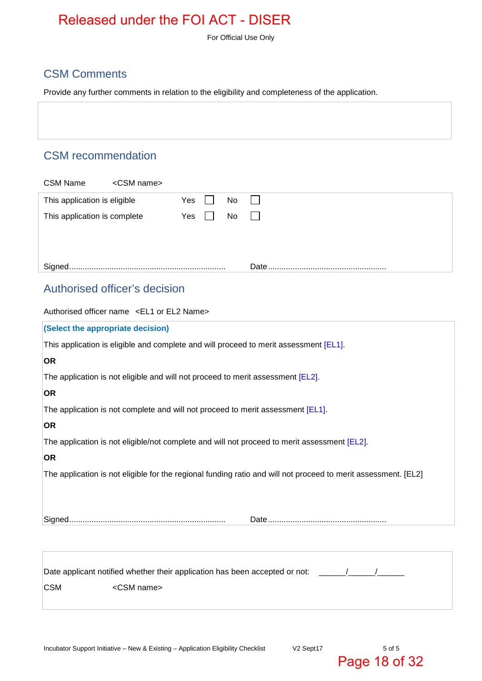For Official Use Only

### CSM Comments

Provide any further comments in relation to the eligibility and completeness of the application.

### CSM recommendation

|                                        |           | Date. |
|----------------------------------------|-----------|-------|
|                                        |           |       |
|                                        |           |       |
| This application is complete           | No<br>Yes |       |
| This application is eligible           | No<br>Yes |       |
| <b>CSM Name</b><br><csm name=""></csm> |           |       |

### Authorised officer's decision

|                                   | Authorised officer name <el1 el2="" name="" or=""></el1>                                                       |  |
|-----------------------------------|----------------------------------------------------------------------------------------------------------------|--|
| (Select the appropriate decision) |                                                                                                                |  |
|                                   | This application is eligible and complete and will proceed to merit assessment [EL1].                          |  |
| <b>OR</b>                         |                                                                                                                |  |
|                                   | The application is not eligible and will not proceed to merit assessment [EL2].                                |  |
| <b>OR</b>                         |                                                                                                                |  |
|                                   | The application is not complete and will not proceed to merit assessment [EL1].                                |  |
| <b>OR</b>                         |                                                                                                                |  |
|                                   | The application is not eligible/not complete and will not proceed to merit assessment [EL2].                   |  |
| <b>OR</b>                         |                                                                                                                |  |
|                                   | The application is not eligible for the regional funding ratio and will not proceed to merit assessment. [EL2] |  |
|                                   |                                                                                                                |  |
|                                   |                                                                                                                |  |
|                                   |                                                                                                                |  |
|                                   |                                                                                                                |  |
|                                   |                                                                                                                |  |
|                                   | Date applicant notified whether their application has been accepted or not:                                    |  |
| <b>CSM</b>                        | <csm name=""></csm>                                                                                            |  |
|                                   |                                                                                                                |  |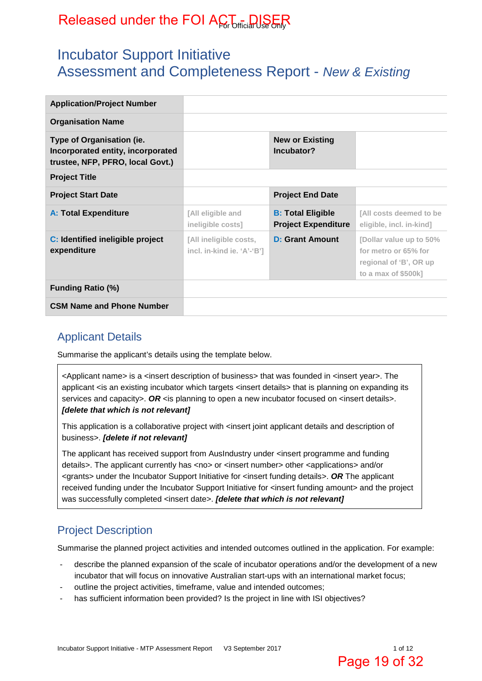## Incubator Support Initiative Assessment and Completeness Report - *New & Existing*

| <b>Application/Project Number</b>                                                                  |                                                      |                                                        |                                                                                                  |
|----------------------------------------------------------------------------------------------------|------------------------------------------------------|--------------------------------------------------------|--------------------------------------------------------------------------------------------------|
| <b>Organisation Name</b>                                                                           |                                                      |                                                        |                                                                                                  |
| Type of Organisation (ie.<br>Incorporated entity, incorporated<br>trustee, NFP, PFRO, local Govt.) |                                                      | <b>New or Existing</b><br>Incubator?                   |                                                                                                  |
| <b>Project Title</b>                                                                               |                                                      |                                                        |                                                                                                  |
| <b>Project Start Date</b>                                                                          |                                                      | <b>Project End Date</b>                                |                                                                                                  |
| <b>A: Total Expenditure</b>                                                                        | [All eligible and<br>ineligible costs]               | <b>B: Total Eligible</b><br><b>Project Expenditure</b> | [All costs deemed to be<br>eligible, incl. in-kind]                                              |
| C: Identified ineligible project<br>expenditure                                                    | [All ineligible costs,<br>incl. in-kind ie. 'A'-'B'] | <b>D: Grant Amount</b>                                 | [Dollar value up to 50%<br>for metro or 65% for<br>regional of 'B', OR up<br>to a max of \$500k] |
| <b>Funding Ratio (%)</b>                                                                           |                                                      |                                                        |                                                                                                  |
| <b>CSM Name and Phone Number</b>                                                                   |                                                      |                                                        |                                                                                                  |

### Applicant Details

Summarise the applicant's details using the template below.

<Applicant name> is a <insert description of business> that was founded in <insert year>. The applicant <is an existing incubator which targets <insert details> that is planning on expanding its services and capacity>. OR <is planning to open a new incubator focused on <insert details>. *[delete that which is not relevant]*

This application is a collaborative project with <insert joint applicant details and description of business>. *[delete if not relevant]* 

The applicant has received support from AusIndustry under <insert programme and funding details>. The applicant currently has <no> or <insert number> other <applications> and/or <grants> under the Incubator Support Initiative for <insert funding details>. *OR* The applicant received funding under the Incubator Support Initiative for <insert funding amount> and the project was successfully completed <insert date>. *[delete that which is not relevant]* 

### Project Description

Summarise the planned project activities and intended outcomes outlined in the application. For example:

- describe the planned expansion of the scale of incubator operations and/or the development of a new incubator that will focus on innovative Australian start-ups with an international market focus;
- outline the project activities, timeframe, value and intended outcomes;
- has sufficient information been provided? Is the project in line with ISI objectives?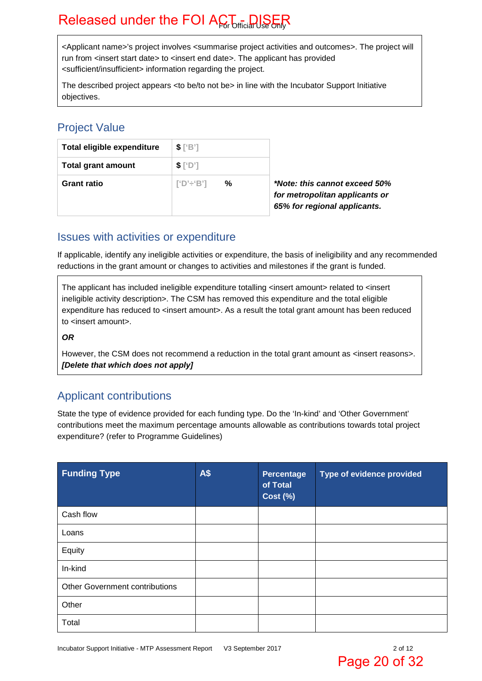<Applicant name>'s project involves <summarise project activities and outcomes>. The project will run from <insert start date> to <insert end date>. The applicant has provided <sufficient/insufficient> information regarding the project.

The described project appears <to be/to not be> in line with the Incubator Support Initiative objectives.

### Project Value

| Total eligible expenditure | $S^{\prime}$ ['B']    |                                                                                                 |
|----------------------------|-----------------------|-------------------------------------------------------------------------------------------------|
| <b>Total grant amount</b>  | \$['D']               |                                                                                                 |
| <b>Grant ratio</b>         | %<br>$\Gamma$ D'÷'B'l | *Note: this cannot exceed 50%<br>for metropolitan applicants or<br>65% for regional applicants. |

### Issues with activities or expenditure

If applicable, identify any ineligible activities or expenditure, the basis of ineligibility and any recommended reductions in the grant amount or changes to activities and milestones if the grant is funded.

The applicant has included ineligible expenditure totalling <insert amount> related to <insert ineligible activity description>. The CSM has removed this expenditure and the total eligible expenditure has reduced to <insert amount>. As a result the total grant amount has been reduced to <insert amount>.

*OR*

However, the CSM does not recommend a reduction in the total grant amount as <insert reasons>. *[Delete that which does not apply]*

### Applicant contributions

State the type of evidence provided for each funding type. Do the 'In-kind' and 'Other Government' contributions meet the maximum percentage amounts allowable as contributions towards total project expenditure? (refer to Programme Guidelines)

| <b>Funding Type</b>                   | <b>A\$</b> | <b>Percentage</b><br>of Total<br><b>Cost (%)</b> | Type of evidence provided |
|---------------------------------------|------------|--------------------------------------------------|---------------------------|
| Cash flow                             |            |                                                  |                           |
| Loans                                 |            |                                                  |                           |
| Equity                                |            |                                                  |                           |
| In-kind                               |            |                                                  |                           |
| <b>Other Government contributions</b> |            |                                                  |                           |
| Other                                 |            |                                                  |                           |
| Total                                 |            |                                                  |                           |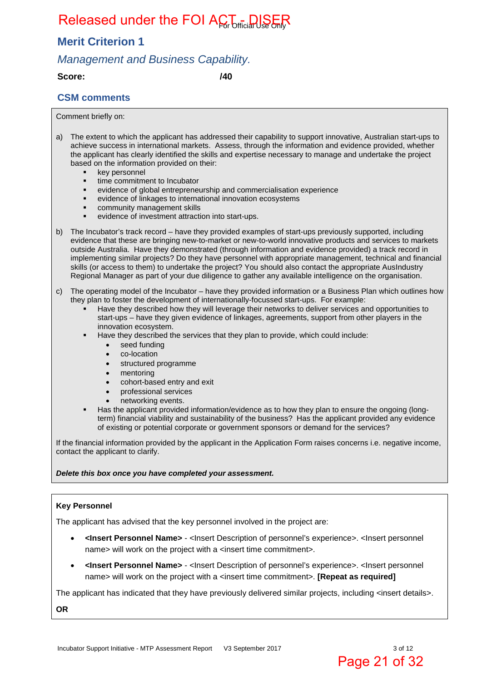### **Merit Criterion 1**

### *Management and Business Capability.*

**Score: /40** 

#### **CSM comments**

Comment briefly on:

- a) The extent to which the applicant has addressed their capability to support innovative, Australian start-ups to achieve success in international markets. Assess, through the information and evidence provided, whether the applicant has clearly identified the skills and expertise necessary to manage and undertake the project based on the information provided on their:
	- **key personnel**
	- **time commitment to Incubator**
	- evidence of global entrepreneurship and commercialisation experience
	- evidence of linkages to international innovation ecosystems
	- **•** community management skills
	- evidence of investment attraction into start-ups.
- b) The Incubator's track record have they provided examples of start-ups previously supported, including evidence that these are bringing new-to-market or new-to-world innovative products and services to markets outside Australia. Have they demonstrated (through information and evidence provided) a track record in implementing similar projects? Do they have personnel with appropriate management, technical and financial skills (or access to them) to undertake the project? You should also contact the appropriate AusIndustry Regional Manager as part of your due diligence to gather any available intelligence on the organisation.
- c) The operating model of the Incubator have they provided information or a Business Plan which outlines how they plan to foster the development of internationally-focussed start-ups. For example:
	- Have they described how they will leverage their networks to deliver services and opportunities to start-ups – have they given evidence of linkages, agreements, support from other players in the innovation ecosystem.
	- Have they described the services that they plan to provide, which could include:
		- seed funding
		- co-location
		- structured programme
		- mentoring
		- cohort-based entry and exit
		- professional services
		- networking events.
	- Has the applicant provided information/evidence as to how they plan to ensure the ongoing (longterm) financial viability and sustainability of the business? Has the applicant provided any evidence of existing or potential corporate or government sponsors or demand for the services?

If the financial information provided by the applicant in the Application Form raises concerns i.e. negative income, contact the applicant to clarify.

#### *Delete this box once you have completed your assessment.*

#### **Key Personnel**

The applicant has advised that the key personnel involved in the project are:

- **<Insert Personnel Name>** <Insert Description of personnel's experience>. <Insert personnel name> will work on the project with a <insert time commitment>.
- **<Insert Personnel Name>** <Insert Description of personnel's experience>. <Insert personnel name> will work on the project with a <insert time commitment>. **[Repeat as required]**

The applicant has indicated that they have previously delivered similar projects, including <insert details>.

**OR**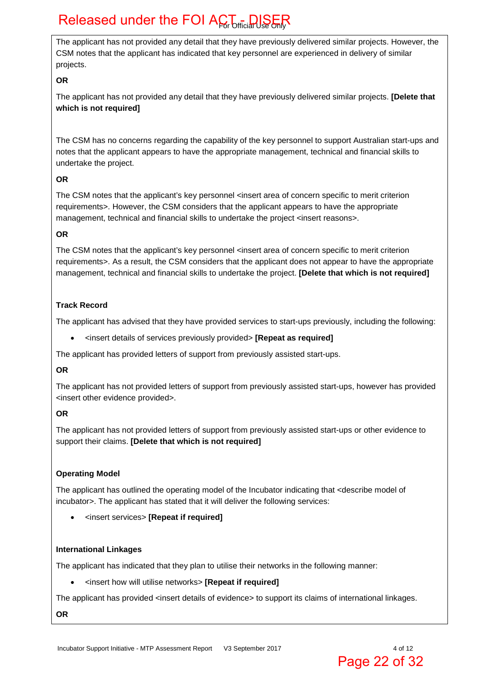The applicant has not provided any detail that they have previously delivered similar projects. However, the CSM notes that the applicant has indicated that key personnel are experienced in delivery of similar projects.

#### **OR**

The applicant has not provided any detail that they have previously delivered similar projects. **[Delete that which is not required]**

The CSM has no concerns regarding the capability of the key personnel to support Australian start-ups and notes that the applicant appears to have the appropriate management, technical and financial skills to undertake the project.

#### **OR**

The CSM notes that the applicant's key personnel <insert area of concern specific to merit criterion requirements>. However, the CSM considers that the applicant appears to have the appropriate management, technical and financial skills to undertake the project <insert reasons>.

#### **OR**

The CSM notes that the applicant's key personnel <insert area of concern specific to merit criterion requirements>. As a result, the CSM considers that the applicant does not appear to have the appropriate management, technical and financial skills to undertake the project. **[Delete that which is not required]** 

#### **Track Record**

The applicant has advised that they have provided services to start-ups previously, including the following:

<insert details of services previously provided> **[Repeat as required]**

The applicant has provided letters of support from previously assisted start-ups.

#### **OR**

The applicant has not provided letters of support from previously assisted start-ups, however has provided <insert other evidence provided>.

#### **OR**

The applicant has not provided letters of support from previously assisted start-ups or other evidence to support their claims. **[Delete that which is not required]**

#### **Operating Model**

The applicant has outlined the operating model of the Incubator indicating that <describe model of incubator>. The applicant has stated that it will deliver the following services:

<insert services> **[Repeat if required]** 

#### **International Linkages**

The applicant has indicated that they plan to utilise their networks in the following manner:

<insert how will utilise networks> **[Repeat if required]** 

The applicant has provided <insert details of evidence> to support its claims of international linkages.

**OR**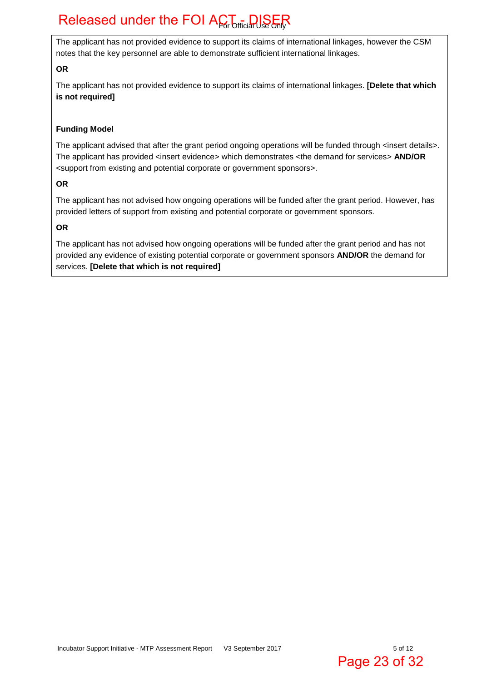The applicant has not provided evidence to support its claims of international linkages, however the CSM notes that the key personnel are able to demonstrate sufficient international linkages.

#### **OR**

The applicant has not provided evidence to support its claims of international linkages. **[Delete that which is not required]**

#### **Funding Model**

The applicant advised that after the grant period ongoing operations will be funded through <insert details>. The applicant has provided <insert evidence> which demonstrates <the demand for services> **AND/OR** <support from existing and potential corporate or government sponsors>.

#### **OR**

The applicant has not advised how ongoing operations will be funded after the grant period. However, has provided letters of support from existing and potential corporate or government sponsors.

#### **OR**

The applicant has not advised how ongoing operations will be funded after the grant period and has not provided any evidence of existing potential corporate or government sponsors **AND/OR** the demand for services. **[Delete that which is not required]**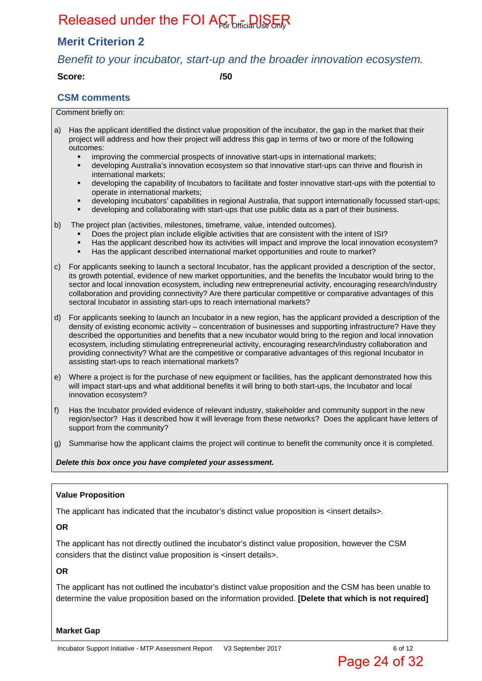### **Merit Criterion 2**

### *Benefit to your incubator, start-up and the broader innovation ecosystem.*

**Score: /50** 

#### **CSM comments**

Comment briefly on:

a) Has the applicant identified the distinct value proposition of the incubator, the gap in the market that their project will address and how their project will address this gap in terms of two or more of the following outcomes:

- improving the commercial prospects of innovative start-ups in international markets;
- developing Australia's innovation ecosystem so that innovative start-ups can thrive and flourish in international markets;
- developing the capability of Incubators to facilitate and foster innovative start-ups with the potential to operate in international markets;
- developing incubators' capabilities in regional Australia, that support internationally focussed start-ups;
- developing and collaborating with start-ups that use public data as a part of their business.
- b) The project plan (activities, milestones, timeframe, value, intended outcomes).
	- Does the project plan include eligible activities that are consistent with the intent of ISI?
	- Has the applicant described how its activities will impact and improve the local innovation ecosystem?
	- Has the applicant described international market opportunities and route to market?
- c) For applicants seeking to launch a sectoral Incubator, has the applicant provided a description of the sector, its growth potential, evidence of new market opportunities, and the benefits the Incubator would bring to the sector and local innovation ecosystem, including new entrepreneurial activity, encouraging research/industry collaboration and providing connectivity? Are there particular competitive or comparative advantages of this sectoral Incubator in assisting start-ups to reach international markets?
- d) For applicants seeking to launch an Incubator in a new region, has the applicant provided a description of the density of existing economic activity – concentration of businesses and supporting infrastructure? Have they described the opportunities and benefits that a new incubator would bring to the region and local innovation ecosystem, including stimulating entrepreneurial activity, encouraging research/industry collaboration and providing connectivity? What are the competitive or comparative advantages of this regional Incubator in assisting start-ups to reach international markets?
- e) Where a project is for the purchase of new equipment or facilities, has the applicant demonstrated how this will impact start-ups and what additional benefits it will bring to both start-ups, the Incubator and local innovation ecosystem?
- f) Has the Incubator provided evidence of relevant industry, stakeholder and community support in the new region/sector? Has it described how it will leverage from these networks? Does the applicant have letters of support from the community?
- g) Summarise how the applicant claims the project will continue to benefit the community once it is completed.

*Delete this box once you have completed your assessment.*

#### **Value Proposition**

The applicant has indicated that the incubator's distinct value proposition is  $\langle$  insert details>.

**OR** 

The applicant has not directly outlined the incubator's distinct value proposition, however the CSM considers that the distinct value proposition is <insert details>.

#### **OR**

The applicant has not outlined the incubator's distinct value proposition and the CSM has been unable to determine the value proposition based on the information provided. **[Delete that which is not required]**

**Market Gap**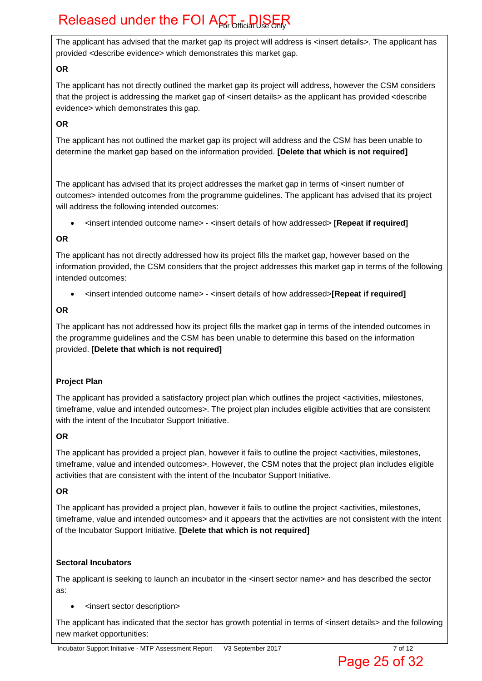The applicant has advised that the market gap its project will address is <insert details>. The applicant has provided <describe evidence> which demonstrates this market gap.

#### **OR**

The applicant has not directly outlined the market gap its project will address, however the CSM considers that the project is addressing the market gap of <insert details> as the applicant has provided <describe evidence> which demonstrates this gap.

#### **OR**

The applicant has not outlined the market gap its project will address and the CSM has been unable to determine the market gap based on the information provided. **[Delete that which is not required]** 

The applicant has advised that its project addresses the market gap in terms of <insert number of outcomes> intended outcomes from the programme guidelines. The applicant has advised that its project will address the following intended outcomes:

<insert intended outcome name> - <insert details of how addressed> **[Repeat if required]**

#### **OR**

The applicant has not directly addressed how its project fills the market gap, however based on the information provided, the CSM considers that the project addresses this market gap in terms of the following intended outcomes:

<insert intended outcome name> - <insert details of how addressed>**[Repeat if required]**

#### **OR**

The applicant has not addressed how its project fills the market gap in terms of the intended outcomes in the programme guidelines and the CSM has been unable to determine this based on the information provided. **[Delete that which is not required]**

#### **Project Plan**

The applicant has provided a satisfactory project plan which outlines the project <activities, milestones, timeframe, value and intended outcomes>. The project plan includes eligible activities that are consistent with the intent of the Incubator Support Initiative.

#### **OR**

The applicant has provided a project plan, however it fails to outline the project <activities, milestones, timeframe, value and intended outcomes>. However, the CSM notes that the project plan includes eligible activities that are consistent with the intent of the Incubator Support Initiative.

#### **OR**

The applicant has provided a project plan, however it fails to outline the project <activities, milestones, timeframe, value and intended outcomes> and it appears that the activities are not consistent with the intent of the Incubator Support Initiative. **[Delete that which is not required]** 

#### **Sectoral Incubators**

The applicant is seeking to launch an incubator in the <insert sector name> and has described the sector as:

<insert sector description>

The applicant has indicated that the sector has growth potential in terms of <insert details> and the following new market opportunities: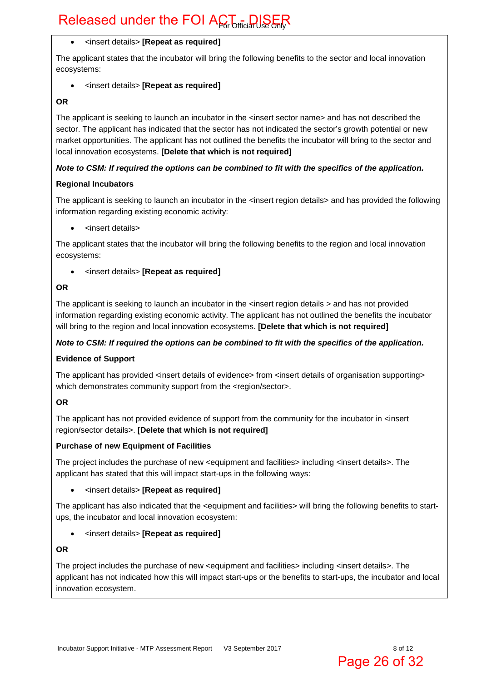#### <insert details> **[Repeat as required]**

The applicant states that the incubator will bring the following benefits to the sector and local innovation ecosystems:

#### <insert details> **[Repeat as required]**

#### **OR**

The applicant is seeking to launch an incubator in the <insert sector name> and has not described the sector. The applicant has indicated that the sector has not indicated the sector's growth potential or new market opportunities. The applicant has not outlined the benefits the incubator will bring to the sector and local innovation ecosystems. **[Delete that which is not required]** 

#### *Note to CSM: If required the options can be combined to fit with the specifics of the application.*

#### **Regional Incubators**

The applicant is seeking to launch an incubator in the <insert region details> and has provided the following information regarding existing economic activity:

<insert details>

The applicant states that the incubator will bring the following benefits to the region and local innovation ecosystems:

<insert details> **[Repeat as required]**

#### **OR**

The applicant is seeking to launch an incubator in the <insert region details > and has not provided information regarding existing economic activity. The applicant has not outlined the benefits the incubator will bring to the region and local innovation ecosystems. **[Delete that which is not required]** 

#### *Note to CSM: If required the options can be combined to fit with the specifics of the application.*

#### **Evidence of Support**

The applicant has provided <insert details of evidence> from <insert details of organisation supporting> which demonstrates community support from the <region/sector>.

#### **OR**

The applicant has not provided evidence of support from the community for the incubator in <insert region/sector details>. **[Delete that which is not required]** 

#### **Purchase of new Equipment of Facilities**

The project includes the purchase of new <equipment and facilities> including <insert details>. The applicant has stated that this will impact start-ups in the following ways:

#### <insert details> **[Repeat as required]**

The applicant has also indicated that the <equipment and facilities> will bring the following benefits to startups, the incubator and local innovation ecosystem:

<insert details> **[Repeat as required]**

#### **OR**

The project includes the purchase of new <equipment and facilities> including <insert details>. The applicant has not indicated how this will impact start-ups or the benefits to start-ups, the incubator and local innovation ecosystem.

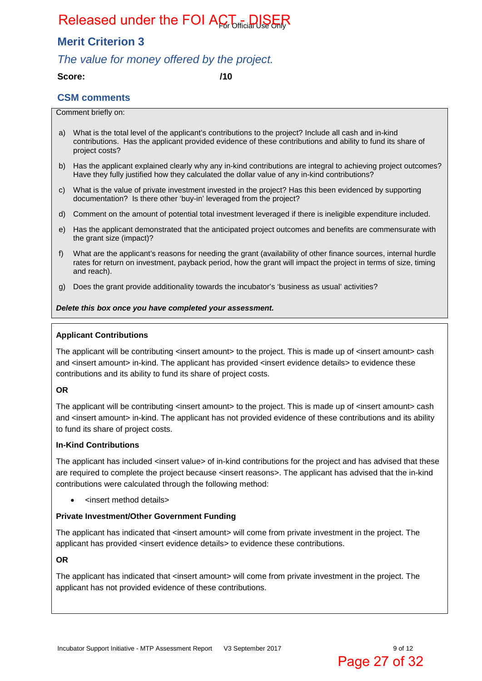### **Merit Criterion 3**

### *The value for money offered by the project.*

#### **Score: /10**

#### **CSM comments**

#### Comment briefly on:

- a) What is the total level of the applicant's contributions to the project? Include all cash and in-kind contributions. Has the applicant provided evidence of these contributions and ability to fund its share of project costs?
- b) Has the applicant explained clearly why any in-kind contributions are integral to achieving project outcomes? Have they fully justified how they calculated the dollar value of any in-kind contributions?
- c) What is the value of private investment invested in the project? Has this been evidenced by supporting documentation? Is there other 'buy-in' leveraged from the project?
- d) Comment on the amount of potential total investment leveraged if there is ineligible expenditure included.
- e) Has the applicant demonstrated that the anticipated project outcomes and benefits are commensurate with the grant size (impact)?
- f) What are the applicant's reasons for needing the grant (availability of other finance sources, internal hurdle rates for return on investment, payback period, how the grant will impact the project in terms of size, timing and reach).
- g) Does the grant provide additionality towards the incubator's 'business as usual' activities?

#### *Delete this box once you have completed your assessment.*

#### **Applicant Contributions**

The applicant will be contributing <insert amount> to the project. This is made up of <insert amount> cash and <insert amount> in-kind. The applicant has provided <insert evidence details> to evidence these contributions and its ability to fund its share of project costs.

#### **OR**

The applicant will be contributing <insert amount> to the project. This is made up of <insert amount> cash and <insert amount> in-kind. The applicant has not provided evidence of these contributions and its ability to fund its share of project costs.

#### **In-Kind Contributions**

The applicant has included <insert value> of in-kind contributions for the project and has advised that these are required to complete the project because <insert reasons>. The applicant has advised that the in-kind contributions were calculated through the following method:

<insert method details>

#### **Private Investment/Other Government Funding**

The applicant has indicated that <insert amount> will come from private investment in the project. The applicant has provided <insert evidence details> to evidence these contributions.

#### **OR**

The applicant has indicated that <insert amount> will come from private investment in the project. The applicant has not provided evidence of these contributions.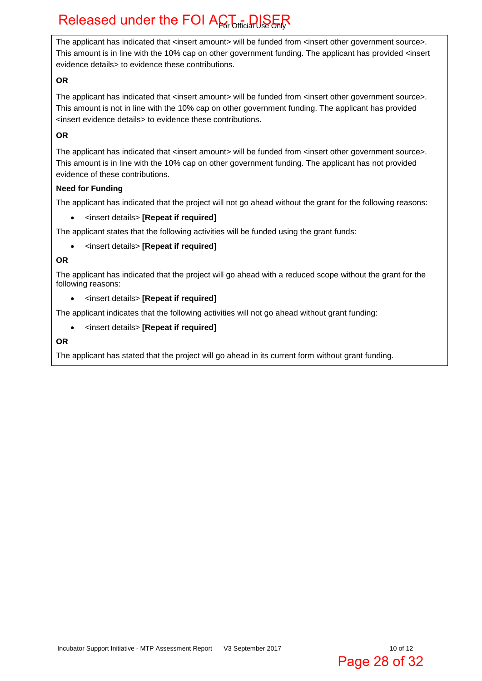The applicant has indicated that <insert amount> will be funded from <insert other government source>. This amount is in line with the 10% cap on other government funding. The applicant has provided <insert evidence details> to evidence these contributions.

#### **OR**

The applicant has indicated that <insert amount> will be funded from <insert other government source>. This amount is not in line with the 10% cap on other government funding. The applicant has provided <insert evidence details> to evidence these contributions.

#### **OR**

The applicant has indicated that <insert amount> will be funded from <insert other government source>. This amount is in line with the 10% cap on other government funding. The applicant has not provided evidence of these contributions.

#### **Need for Funding**

The applicant has indicated that the project will not go ahead without the grant for the following reasons:

<insert details> **[Repeat if required]**

The applicant states that the following activities will be funded using the grant funds:

<insert details> **[Repeat if required]**

#### **OR**

The applicant has indicated that the project will go ahead with a reduced scope without the grant for the following reasons:

<insert details> **[Repeat if required]**

The applicant indicates that the following activities will not go ahead without grant funding:

<insert details> **[Repeat if required]**

**OR** 

The applicant has stated that the project will go ahead in its current form without grant funding.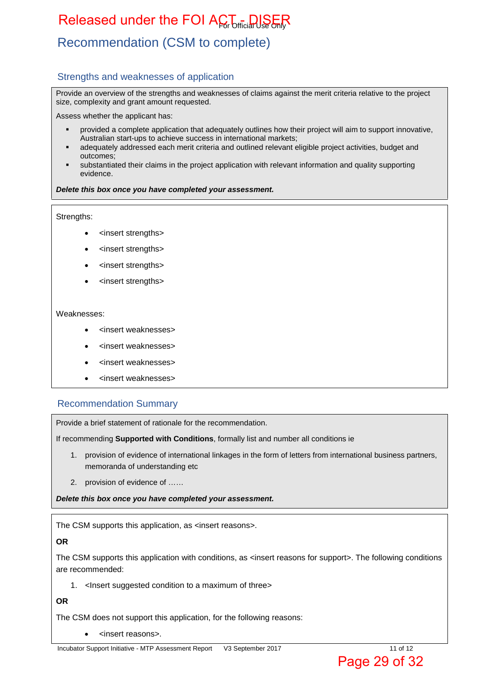## Recommendation (CSM to complete)

#### Strengths and weaknesses of application

Provide an overview of the strengths and weaknesses of claims against the merit criteria relative to the project size, complexity and grant amount requested.

Assess whether the applicant has:

- provided a complete application that adequately outlines how their project will aim to support innovative, Australian start-ups to achieve success in international markets;
- adequately addressed each merit criteria and outlined relevant eligible project activities, budget and outcomes;
- substantiated their claims in the project application with relevant information and quality supporting evidence.

#### *Delete this box once you have completed your assessment.*

#### Strengths:

- <insert strengths>
- <insert strengths>
- <insert strengths>
- <insert strengths>

#### Weaknesses:

- <insert weaknesses>
- <insert weaknesses>
- <insert weaknesses>
- <insert weaknesses>

#### Recommendation Summary

Provide a brief statement of rationale for the recommendation.

If recommending **Supported with Conditions**, formally list and number all conditions ie

- 1. provision of evidence of international linkages in the form of letters from international business partners, memoranda of understanding etc
- 2. provision of evidence of ……

*Delete this box once you have completed your assessment.*

The CSM supports this application, as <insert reasons>.

#### **OR**

The CSM supports this application with conditions, as <insert reasons for support>. The following conditions are recommended:

1. <Insert suggested condition to a maximum of three>

#### **OR**

The CSM does not support this application, for the following reasons:

<insert reasons>.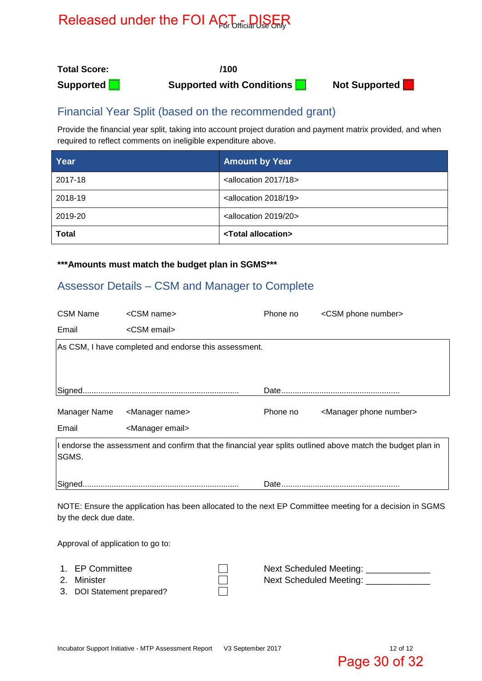**Total Score: /100** 

**Supported Supported with Conditions Not Supported** 



### Financial Year Split (based on the recommended grant)

Provide the financial year split, taking into account project duration and payment matrix provided, and when required to reflect comments on ineligible expenditure above.

| Year         | <b>Amount by Year</b>                   |
|--------------|-----------------------------------------|
| 2017-18      | <allocation 18="" 2017=""></allocation> |
| 2018-19      | <allocation 19="" 2018=""></allocation> |
| 2019-20      | <allocation 20="" 2019=""></allocation> |
| <b>Total</b> | <total allocation=""></total>           |

#### **\*\*\*Amounts must match the budget plan in SGMS\*\*\***

### Assessor Details – CSM and Manager to Complete

| <b>CSM Name</b>                   | <csm name=""></csm>                                   | Phone no | <csm number="" phone=""></csm>                                                                              |
|-----------------------------------|-------------------------------------------------------|----------|-------------------------------------------------------------------------------------------------------------|
| Email                             | <csm email=""></csm>                                  |          |                                                                                                             |
|                                   | As CSM, I have completed and endorse this assessment. |          |                                                                                                             |
|                                   |                                                       |          |                                                                                                             |
|                                   |                                                       |          |                                                                                                             |
| Manager Name                      | <manager name=""></manager>                           | Phone no | <manager number="" phone=""></manager>                                                                      |
| Email                             | <manager email=""></manager>                          |          |                                                                                                             |
| SGMS.                             |                                                       |          | I endorse the assessment and confirm that the financial year splits outlined above match the budget plan in |
|                                   |                                                       |          |                                                                                                             |
| by the deck due date.             |                                                       |          | NOTE: Ensure the application has been allocated to the next EP Committee meeting for a decision in SGMS     |
| Approval of application to go to: |                                                       |          |                                                                                                             |
| 1. EP Committee                   |                                                       |          | Next Scheduled Meeting:                                                                                     |

- 
- 3. DOI Statement prepared?

2. Minister  $\square$  Next Scheduled Meeting:  $\square$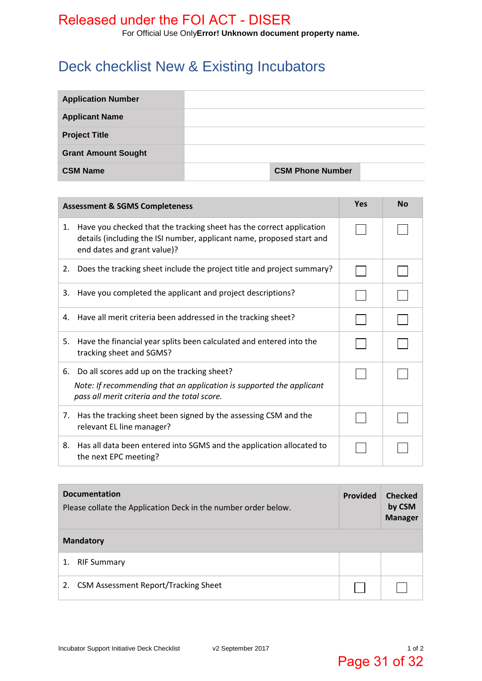For Official Use Only**Error! Unknown document property name.**

## Deck checklist New & Existing Incubators

| <b>Application Number</b>  |                         |  |
|----------------------------|-------------------------|--|
| <b>Applicant Name</b>      |                         |  |
| <b>Project Title</b>       |                         |  |
| <b>Grant Amount Sought</b> |                         |  |
| <b>CSM Name</b>            | <b>CSM Phone Number</b> |  |

| <b>Assessment &amp; SGMS Completeness</b>                                                                                                                                          |  | <b>No</b> |
|------------------------------------------------------------------------------------------------------------------------------------------------------------------------------------|--|-----------|
| Have you checked that the tracking sheet has the correct application<br>1.<br>details (including the ISI number, applicant name, proposed start and<br>end dates and grant value)? |  |           |
| Does the tracking sheet include the project title and project summary?<br>2.                                                                                                       |  |           |
| Have you completed the applicant and project descriptions?<br>3.                                                                                                                   |  |           |
| Have all merit criteria been addressed in the tracking sheet?<br>4.                                                                                                                |  |           |
| Have the financial year splits been calculated and entered into the<br>5.<br>tracking sheet and SGMS?                                                                              |  |           |
| 6. Do all scores add up on the tracking sheet?<br>Note: If recommending that an application is supported the applicant<br>pass all merit criteria and the total score.             |  |           |
| Has the tracking sheet been signed by the assessing CSM and the<br>7.<br>relevant EL line manager?                                                                                 |  |           |
| Has all data been entered into SGMS and the application allocated to<br>8.<br>the next EPC meeting?                                                                                |  |           |

| <b>Documentation</b><br>Please collate the Application Deck in the number order below. |  | <b>Checked</b><br>by CSM<br><b>Manager</b> |
|----------------------------------------------------------------------------------------|--|--------------------------------------------|
| <b>Mandatory</b>                                                                       |  |                                            |
| <b>RIF Summary</b><br>1.                                                               |  |                                            |
| <b>CSM Assessment Report/Tracking Sheet</b><br>2.                                      |  |                                            |